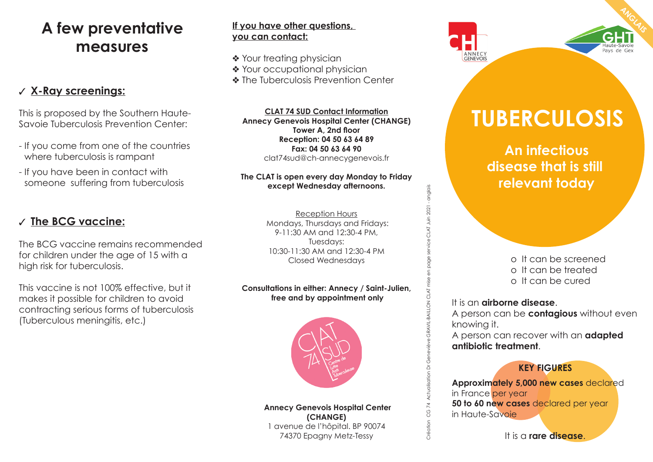### **A few preventative measures**

### ✓ **X-Ray screenings:**

This is proposed by the Southern Haute-Savoie Tuberculosis Prevention Center:

- If you come from one of the countries where tuberculosis is rampant
- If you have been in contact with someone suffering from tuberculosis

### ✓ **The BCG vaccine:**

The BCG vaccine remains recommended for children under the age of 15 with a high risk for tuberculosis.

This vaccine is not 100% effective, but it makes it possible for children to avoid contracting serious forms of tuberculosis (Tuberculous meningitis, etc.)

#### **If you have other questions, you can contact:**

- ❖ Your treating physician
- ❖ Your occupational physician
- ❖ The Tuberculosis Prevention Center

**CLAT 74 SUD Contact Information Annecy Genevois Hospital Center (CHANGE) Tower A, 2nd floor Reception: 04 50 63 64 89 Fax: 04 50 63 64 90** clat74sud@ch-annecygenevois.fr

#### **The CLAT is open every day Monday to Friday except Wednesday afternoons.**

Reception Hours Mondays, Thursdays and Fridays: 9-11:30 AM and 12:30-4 PM, Tuesdays: 10:30-11:30 AM and 12:30-4 PM Closed Wednesdays

#### **Consultations in either: Annecy / Saint-Julien, free and by appointment only**



 **Annecy Genevois Hospital Center (CHANGE)** 1 avenue de l'hôpital. BP 90074 74370 Epagny Metz-Tessy





# **TUBERCULOSIS**

 **An infectious disease that is still relevant today**

> o It can be screened o It can be treated o It can be cured

It is an **airborne disease**.

Création CG 74 Actualisation Dr Geneviève GRAVIL-BAILLON CLAT mise en page service CLAT Juin 2021 - anglais

GRAVIL-BAILLON

Création CG 74 Actualisation Dr Ge

CLAT

service CLAT Juin 2021 - anglais

A person can be **contagious** without even knowing it.

A person can recover with an **adapted antibiotic treatment**.

### **KEY FIGURES**

**Approximately 5,000 new cases** declared in France per year **50 to 60 new cases** declared per year in Haute-Savoie

It is a **rare disease**.